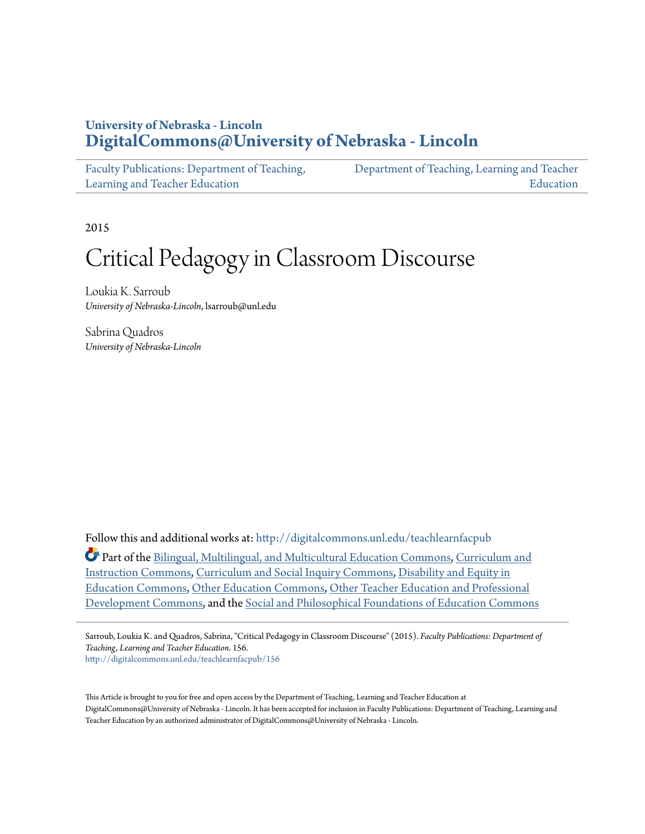## **University of Nebraska - Lincoln [DigitalCommons@University of Nebraska - Lincoln](http://digitalcommons.unl.edu?utm_source=digitalcommons.unl.edu%2Fteachlearnfacpub%2F156&utm_medium=PDF&utm_campaign=PDFCoverPages)**

| Faculty Publications: Department of Teaching, | Department of Teaching, Learning and Teacher |
|-----------------------------------------------|----------------------------------------------|
| Learning and Teacher Education                | Education                                    |

2015

# Critical Pedagogy in Classroom Discourse

Loukia K. Sarroub *University of Nebraska-Lincoln*, lsarroub@unl.edu

Sabrina Quadros *University of Nebraska-Lincoln*

Follow this and additional works at: [http://digitalcommons.unl.edu/teachlearnfacpub](http://digitalcommons.unl.edu/teachlearnfacpub?utm_source=digitalcommons.unl.edu%2Fteachlearnfacpub%2F156&utm_medium=PDF&utm_campaign=PDFCoverPages)

Part of the [Bilingual, Multilingual, and Multicultural Education Commons](http://network.bepress.com/hgg/discipline/785?utm_source=digitalcommons.unl.edu%2Fteachlearnfacpub%2F156&utm_medium=PDF&utm_campaign=PDFCoverPages), [Curriculum and](http://network.bepress.com/hgg/discipline/786?utm_source=digitalcommons.unl.edu%2Fteachlearnfacpub%2F156&utm_medium=PDF&utm_campaign=PDFCoverPages) [Instruction Commons](http://network.bepress.com/hgg/discipline/786?utm_source=digitalcommons.unl.edu%2Fteachlearnfacpub%2F156&utm_medium=PDF&utm_campaign=PDFCoverPages), [Curriculum and Social Inquiry Commons](http://network.bepress.com/hgg/discipline/1038?utm_source=digitalcommons.unl.edu%2Fteachlearnfacpub%2F156&utm_medium=PDF&utm_campaign=PDFCoverPages), [Disability and Equity in](http://network.bepress.com/hgg/discipline/1040?utm_source=digitalcommons.unl.edu%2Fteachlearnfacpub%2F156&utm_medium=PDF&utm_campaign=PDFCoverPages) [Education Commons](http://network.bepress.com/hgg/discipline/1040?utm_source=digitalcommons.unl.edu%2Fteachlearnfacpub%2F156&utm_medium=PDF&utm_campaign=PDFCoverPages), [Other Education Commons](http://network.bepress.com/hgg/discipline/811?utm_source=digitalcommons.unl.edu%2Fteachlearnfacpub%2F156&utm_medium=PDF&utm_campaign=PDFCoverPages), [Other Teacher Education and Professional](http://network.bepress.com/hgg/discipline/810?utm_source=digitalcommons.unl.edu%2Fteachlearnfacpub%2F156&utm_medium=PDF&utm_campaign=PDFCoverPages) [Development Commons,](http://network.bepress.com/hgg/discipline/810?utm_source=digitalcommons.unl.edu%2Fteachlearnfacpub%2F156&utm_medium=PDF&utm_campaign=PDFCoverPages) and the [Social and Philosophical Foundations of Education Commons](http://network.bepress.com/hgg/discipline/799?utm_source=digitalcommons.unl.edu%2Fteachlearnfacpub%2F156&utm_medium=PDF&utm_campaign=PDFCoverPages)

Sarroub, Loukia K. and Quadros, Sabrina, "Critical Pedagogy in Classroom Discourse" (2015). *Faculty Publications: Department of Teaching, Learning and Teacher Education*. 156. [http://digitalcommons.unl.edu/teachlearnfacpub/156](http://digitalcommons.unl.edu/teachlearnfacpub/156?utm_source=digitalcommons.unl.edu%2Fteachlearnfacpub%2F156&utm_medium=PDF&utm_campaign=PDFCoverPages)

This Article is brought to you for free and open access by the Department of Teaching, Learning and Teacher Education at DigitalCommons@University of Nebraska - Lincoln. It has been accepted for inclusion in Faculty Publications: Department of Teaching, Learning and Teacher Education by an authorized administrator of DigitalCommons@University of Nebraska - Lincoln.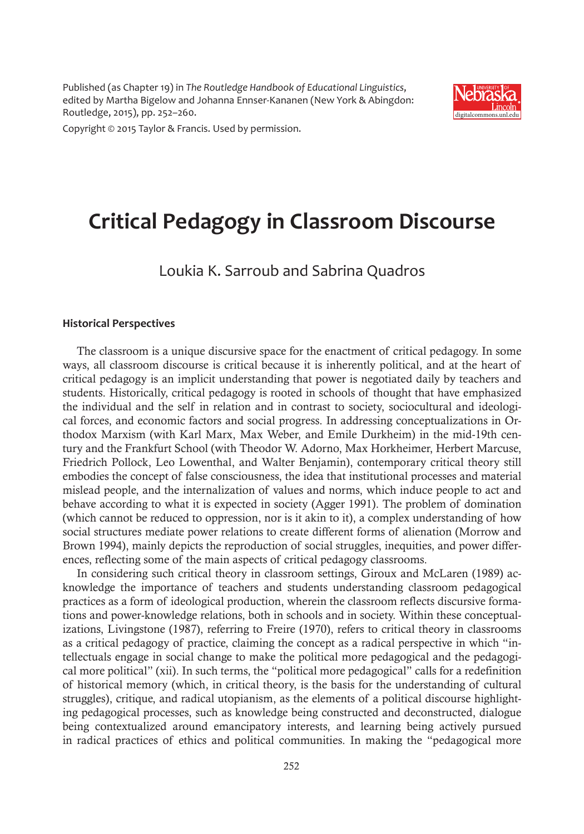Published (as Chapter 19) in *The Routledge Handbook of Educational Linguistics*, edited by Martha Bigelow and Johanna Ennser-Kananen (New York & Abingdon: Routledge, 2015), pp. 252–260.



Copyright © 2015 Taylor & Francis. Used by permission.

# **Critical Pedagogy in Classroom Discourse**

### Loukia K. Sarroub and Sabrina Quadros

#### **Historical Perspectives**

The classroom is a unique discursive space for the enactment of critical pedagogy. In some ways, all classroom discourse is critical because it is inherently political, and at the heart of critical pedagogy is an implicit understanding that power is negotiated daily by teachers and students. Historically, critical pedagogy is rooted in schools of thought that have emphasized the individual and the self in relation and in contrast to society, sociocultural and ideological forces, and economic factors and social progress. In addressing conceptualizations in Orthodox Marxism (with Karl Marx, Max Weber, and Emile Durkheim) in the mid-19th century and the Frankfurt School (with Theodor W. Adorno, Max Horkheimer, Herbert Marcuse, Friedrich Pollock, Leo Lowenthal, and Walter Benjamin), contemporary critical theory still embodies the concept of false consciousness, the idea that institutional processes and material mislead people, and the internalization of values and norms, which induce people to act and behave according to what it is expected in society (Agger 1991). The problem of domination (which cannot be reduced to oppression, nor is it akin to it), a complex understanding of how social structures mediate power relations to create different forms of alienation (Morrow and Brown 1994), mainly depicts the reproduction of social struggles, inequities, and power differences, reflecting some of the main aspects of critical pedagogy classrooms.

In considering such critical theory in classroom settings, Giroux and McLaren (1989) acknowledge the importance of teachers and students understanding classroom pedagogical practices as a form of ideological production, wherein the classroom reflects discursive formations and power-knowledge relations, both in schools and in society. Within these conceptualizations, Livingstone (1987), referring to Freire (1970), refers to critical theory in classrooms as a critical pedagogy of practice, claiming the concept as a radical perspective in which "intellectuals engage in social change to make the political more pedagogical and the pedagogical more political" (xii). In such terms, the "political more pedagogical" calls for a redefinition of historical memory (which, in critical theory, is the basis for the understanding of cultural struggles), critique, and radical utopianism, as the elements of a political discourse highlighting pedagogical processes, such as knowledge being constructed and deconstructed, dialogue being contextualized around emancipatory interests, and learning being actively pursued in radical practices of ethics and political communities. In making the "pedagogical more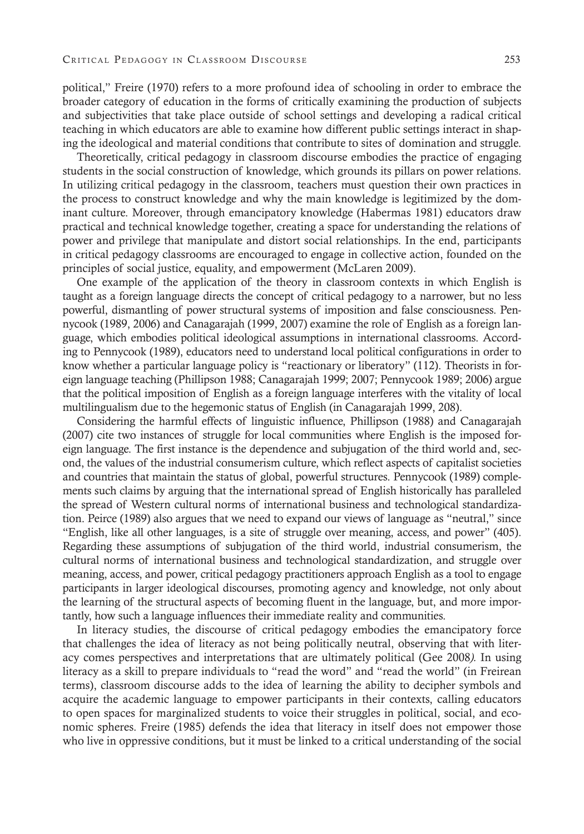political," Freire (1970) refers to a more profound idea of schooling in order to embrace the broader category of education in the forms of critically examining the production of subjects and subjectivities that take place outside of school settings and developing a radical critical teaching in which educators are able to examine how different public settings interact in shaping the ideological and material conditions that contribute to sites of domination and struggle.

Theoretically, critical pedagogy in classroom discourse embodies the practice of engaging students in the social construction of knowledge, which grounds its pillars on power relations. In utilizing critical pedagogy in the classroom, teachers must question their own practices in the process to construct knowledge and why the main knowledge is legitimized by the dominant culture. Moreover, through emancipatory knowledge (Habermas 1981) educators draw practical and technical knowledge together, creating a space for understanding the relations of power and privilege that manipulate and distort social relationships. In the end, participants in critical pedagogy classrooms are encouraged to engage in collective action, founded on the principles of social justice, equality, and empowerment (McLaren 2009).

One example of the application of the theory in classroom contexts in which English is taught as a foreign language directs the concept of critical pedagogy to a narrower, but no less powerful, dismantling of power structural systems of imposition and false consciousness. Pennycook (1989, 2006) and Canagarajah (1999, 2007) examine the role of English as a foreign language, which embodies political ideological assumptions in international classrooms. According to Pennycook (1989), educators need to understand local political configurations in order to know whether a particular language policy is "reactionary or liberatory" (112). Theorists in foreign language teaching (Phillipson 1988; Canagarajah 1999; 2007; Pennycook 1989; 2006) argue that the political imposition of English as a foreign language interferes with the vitality of local multilingualism due to the hegemonic status of English (in Canagarajah 1999, 208).

Considering the harmful effects of linguistic influence, Phillipson (1988) and Canagarajah (2007) cite two instances of struggle for local communities where English is the imposed foreign language. The first instance is the dependence and subjugation of the third world and, second, the values of the industrial consumerism culture, which reflect aspects of capitalist societies and countries that maintain the status of global, powerful structures. Pennycook (1989) complements such claims by arguing that the international spread of English historically has paralleled the spread of Western cultural norms of international business and technological standardization. Peirce (1989) also argues that we need to expand our views of language as "neutral," since "English, like all other languages, is a site of struggle over meaning, access, and power" (405). Regarding these assumptions of subjugation of the third world, industrial consumerism, the cultural norms of international business and technological standardization, and struggle over meaning, access, and power, critical pedagogy practitioners approach English as a tool to engage participants in larger ideological discourses, promoting agency and knowledge, not only about the learning of the structural aspects of becoming fluent in the language, but, and more importantly, how such a language influences their immediate reality and communities.

In literacy studies, the discourse of critical pedagogy embodies the emancipatory force that challenges the idea of literacy as not being politically neutral, observing that with literacy comes perspectives and interpretations that are ultimately political (Gee 2008*).* In using literacy as a skill to prepare individuals to "read the word" and "read the world" (in Freirean terms), classroom discourse adds to the idea of learning the ability to decipher symbols and acquire the academic language to empower participants in their contexts, calling educators to open spaces for marginalized students to voice their struggles in political, social, and economic spheres. Freire (1985) defends the idea that literacy in itself does not empower those who live in oppressive conditions, but it must be linked to a critical understanding of the social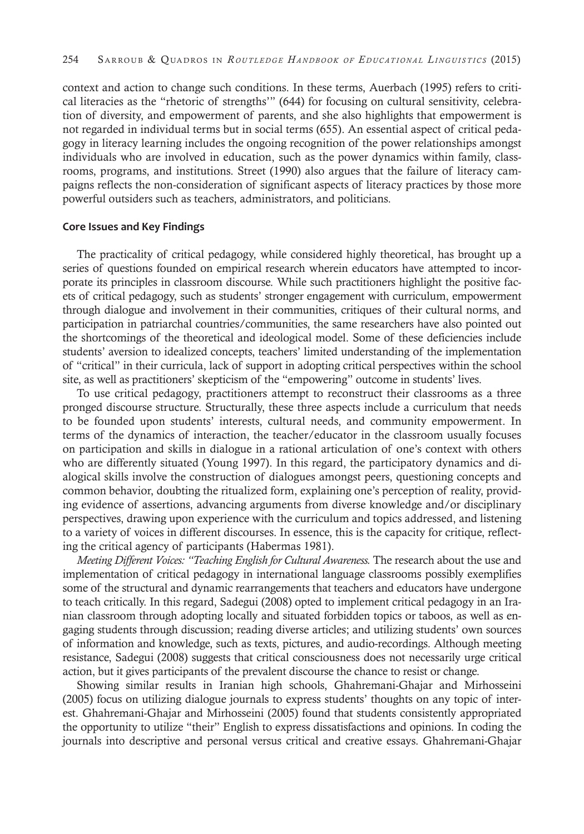context and action to change such conditions. In these terms, Auerbach (1995) refers to critical literacies as the "rhetoric of strengths'" (644) for focusing on cultural sensitivity, celebration of diversity, and empowerment of parents, and she also highlights that empowerment is not regarded in individual terms but in social terms (655). An essential aspect of critical pedagogy in literacy learning includes the ongoing recognition of the power relationships amongst individuals who are involved in education, such as the power dynamics within family, classrooms, programs, and institutions. Street (1990) also argues that the failure of literacy campaigns reflects the non-consideration of significant aspects of literacy practices by those more powerful outsiders such as teachers, administrators, and politicians.

#### **Core Issues and Key Findings**

The practicality of critical pedagogy, while considered highly theoretical, has brought up a series of questions founded on empirical research wherein educators have attempted to incorporate its principles in classroom discourse. While such practitioners highlight the positive facets of critical pedagogy, such as students' stronger engagement with curriculum, empowerment through dialogue and involvement in their communities, critiques of their cultural norms, and participation in patriarchal countries/communities, the same researchers have also pointed out the shortcomings of the theoretical and ideological model. Some of these deficiencies include students' aversion to idealized concepts, teachers' limited understanding of the implementation of "critical" in their curricula, lack of support in adopting critical perspectives within the school site, as well as practitioners' skepticism of the "empowering" outcome in students' lives.

To use critical pedagogy, practitioners attempt to reconstruct their classrooms as a three pronged discourse structure. Structurally, these three aspects include a curriculum that needs to be founded upon students' interests, cultural needs, and community empowerment. In terms of the dynamics of interaction, the teacher/educator in the classroom usually focuses on participation and skills in dialogue in a rational articulation of one's context with others who are differently situated (Young 1997). In this regard, the participatory dynamics and dialogical skills involve the construction of dialogues amongst peers, questioning concepts and common behavior, doubting the ritualized form, explaining one's perception of reality, providing evidence of assertions, advancing arguments from diverse knowledge and/or disciplinary perspectives, drawing upon experience with the curriculum and topics addressed, and listening to a variety of voices in different discourses. In essence, this is the capacity for critique, reflecting the critical agency of participants (Habermas 1981).

*Meeting Different Voices: "Teaching English for Cultural Awareness.* The research about the use and implementation of critical pedagogy in international language classrooms possibly exemplifies some of the structural and dynamic rearrangements that teachers and educators have undergone to teach critically. In this regard, Sadegui (2008) opted to implement critical pedagogy in an Iranian classroom through adopting locally and situated forbidden topics or taboos, as well as engaging students through discussion; reading diverse articles; and utilizing students' own sources of information and knowledge, such as texts, pictures, and audio-recordings. Although meeting resistance, Sadegui (2008) suggests that critical consciousness does not necessarily urge critical action, but it gives participants of the prevalent discourse the chance to resist or change.

Showing similar results in Iranian high schools, Ghahremani-Ghajar and Mirhosseini (2005) focus on utilizing dialogue journals to express students' thoughts on any topic of interest. Ghahremani-Ghajar and Mirhosseini (2005) found that students consistently appropriated the opportunity to utilize "their" English to express dissatisfactions and opinions. In coding the journals into descriptive and personal versus critical and creative essays. Ghahremani-Ghajar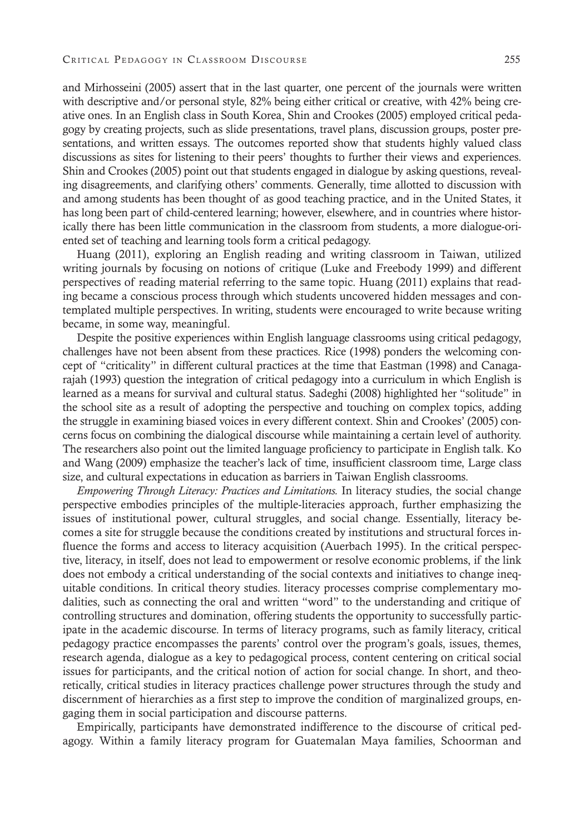and Mirhosseini (2005) assert that in the last quarter, one percent of the journals were written with descriptive and/or personal style, 82% being either critical or creative, with 42% being creative ones. In an English class in South Korea, Shin and Crookes (2005) employed critical pedagogy by creating projects, such as slide presentations, travel plans, discussion groups, poster presentations, and written essays. The outcomes reported show that students highly valued class discussions as sites for listening to their peers' thoughts to further their views and experiences. Shin and Crookes (2005) point out that students engaged in dialogue by asking questions, revealing disagreements, and clarifying others' comments. Generally, time allotted to discussion with and among students has been thought of as good teaching practice, and in the United States, it has long been part of child-centered learning; however, elsewhere, and in countries where historically there has been little communication in the classroom from students, a more dialogue-oriented set of teaching and learning tools form a critical pedagogy.

Huang (2011), exploring an English reading and writing classroom in Taiwan, utilized writing journals by focusing on notions of critique (Luke and Freebody 1999) and different perspectives of reading material referring to the same topic. Huang (2011) explains that reading became a conscious process through which students uncovered hidden messages and contemplated multiple perspectives. In writing, students were encouraged to write because writing became, in some way, meaningful.

Despite the positive experiences within English language classrooms using critical pedagogy, challenges have not been absent from these practices. Rice (1998) ponders the welcoming concept of "criticality" in different cultural practices at the time that Eastman (1998) and Canagarajah (1993) question the integration of critical pedagogy into a curriculum in which English is learned as a means for survival and cultural status. Sadeghi (2008) highlighted her "solitude" in the school site as a result of adopting the perspective and touching on complex topics, adding the struggle in examining biased voices in every different context. Shin and Crookes' (2005) concerns focus on combining the dialogical discourse while maintaining a certain level of authority. The researchers also point out the limited language proficiency to participate in English talk. Ko and Wang (2009) emphasize the teacher's lack of time, insufficient classroom time, Large class size, and cultural expectations in education as barriers in Taiwan English classrooms.

*Empowering Through Literacy: Practices and Limitations.* In literacy studies, the social change perspective embodies principles of the multiple-literacies approach, further emphasizing the issues of institutional power, cultural struggles, and social change. Essentially, literacy becomes a site for struggle because the conditions created by institutions and structural forces influence the forms and access to literacy acquisition (Auerbach 1995). In the critical perspective, literacy, in itself, does not lead to empowerment or resolve economic problems, if the link does not embody a critical understanding of the social contexts and initiatives to change inequitable conditions. In critical theory studies. literacy processes comprise complementary modalities, such as connecting the oral and written "word" to the understanding and critique of controlling structures and domination, offering students the opportunity to successfully participate in the academic discourse. In terms of literacy programs, such as family literacy, critical pedagogy practice encompasses the parents' control over the program's goals, issues, themes, research agenda, dialogue as a key to pedagogical process, content centering on critical social issues for participants, and the critical notion of action for social change. In short, and theoretically, critical studies in literacy practices challenge power structures through the study and discernment of hierarchies as a first step to improve the condition of marginalized groups, engaging them in social participation and discourse patterns.

Empirically, participants have demonstrated indifference to the discourse of critical pedagogy. Within a family literacy program for Guatemalan Maya families, Schoorman and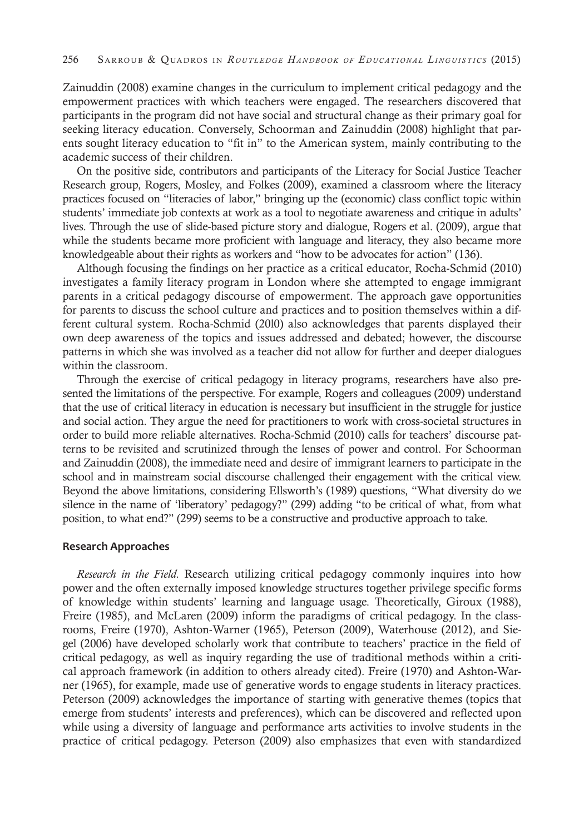Zainuddin (2008) examine changes in the curriculum to implement critical pedagogy and the empowerment practices with which teachers were engaged. The researchers discovered that participants in the program did not have social and structural change as their primary goal for seeking literacy education. Conversely, Schoorman and Zainuddin (2008) highlight that parents sought literacy education to "fit in" to the American system, mainly contributing to the academic success of their children.

On the positive side, contributors and participants of the Literacy for Social Justice Teacher Research group, Rogers, Mosley, and Folkes (2009), examined a classroom where the literacy practices focused on "literacies of labor," bringing up the (economic) class conflict topic within students' immediate job contexts at work as a tool to negotiate awareness and critique in adults' lives. Through the use of slide-based picture story and dialogue, Rogers et al. (2009), argue that while the students became more proficient with language and literacy, they also became more knowledgeable about their rights as workers and "how to be advocates for action" (136).

Although focusing the findings on her practice as a critical educator, Rocha-Schmid (2010) investigates a family literacy program in London where she attempted to engage immigrant parents in a critical pedagogy discourse of empowerment. The approach gave opportunities for parents to discuss the school culture and practices and to position themselves within a different cultural system. Rocha-Schmid (20l0) also acknowledges that parents displayed their own deep awareness of the topics and issues addressed and debated; however, the discourse patterns in which she was involved as a teacher did not allow for further and deeper dialogues within the classroom.

Through the exercise of critical pedagogy in literacy programs, researchers have also presented the limitations of the perspective. For example, Rogers and colleagues (2009) understand that the use of critical literacy in education is necessary but insufficient in the struggle for justice and social action. They argue the need for practitioners to work with cross-societal structures in order to build more reliable alternatives. Rocha-Schmid (2010) calls for teachers' discourse patterns to be revisited and scrutinized through the lenses of power and control. For Schoorman and Zainuddin (2008), the immediate need and desire of immigrant learners to participate in the school and in mainstream social discourse challenged their engagement with the critical view. Beyond the above limitations, considering Ellsworth's (1989) questions, "What diversity do we silence in the name of 'liberatory' pedagogy?" (299) adding "to be critical of what, from what position, to what end?" (299) seems to be a constructive and productive approach to take.

#### **Research Approaches**

*Research in the Field.* Research utilizing critical pedagogy commonly inquires into how power and the often externally imposed knowledge structures together privilege specific forms of knowledge within students' learning and language usage. Theoretically, Giroux (1988), Freire (1985), and McLaren (2009) inform the paradigms of critical pedagogy. In the classrooms, Freire (1970), Ashton-Warner (1965), Peterson (2009), Waterhouse (2012), and Siegel (2006) have developed scholarly work that contribute to teachers' practice in the field of critical pedagogy, as well as inquiry regarding the use of traditional methods within a critical approach framework (in addition to others already cited). Freire (1970) and Ashton-Warner (1965), for example, made use of generative words to engage students in literacy practices. Peterson (2009) acknowledges the importance of starting with generative themes (topics that emerge from students' interests and preferences), which can be discovered and reflected upon while using a diversity of language and performance arts activities to involve students in the practice of critical pedagogy. Peterson (2009) also emphasizes that even with standardized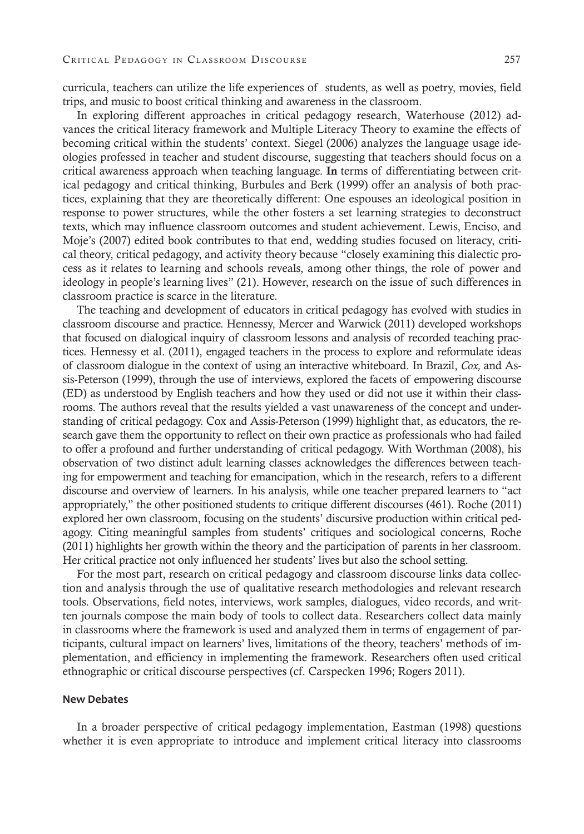curricula, teachers can utilize the life experiences of students, as well as poetry, movies, field trips, and music to boost critical thinking and awareness in the classroom.

In exploring different approaches in critical pedagogy research, Waterhouse (2012) advances the critical literacy framework and Multiple Literacy Theory to examine the effects of becoming critical within the students' context. Siegel (2006) analyzes the language usage ideologies professed in teacher and student discourse, suggesting that teachers should focus on a critical awareness approach when teaching language. In terms of differentiating between critical pedagogy and critical thinking, Burbules and Berk (1999) offer an analysis of both practices, explaining that they are theoretically different: One espouses an ideological position in response to power structures, while the other fosters a set learning strategies to deconstruct texts, which may influence classroom outcomes and student achievement. Lewis, Enciso, and Moje's (2007) edited book contributes to that end, wedding studies focused on literacy, critical theory, critical pedagogy, and activity theory because "closely examining this dialectic process as it relates to learning and schools reveals, among other things, the role of power and ideology in people's learning lives" (21). However, research on the issue of such differences in classroom practice is scarce in the literature.

The teaching and development of educators in critical pedagogy has evolved with studies in classroom discourse and practice. Hennessy, Mercer and Warwick (2011) developed workshops that focused on dialogical inquiry of classroom lessons and analysis of recorded teaching practices. Hennessy et al. (2011), engaged teachers in the process to explore and reformulate ideas of classroom dialogue in the context of using an interactive whiteboard. In Brazil, *Cox,* and Assis-Peterson (1999), through the use of interviews, explored the facets of empowering discourse (ED) as understood by English teachers and how they used or did not use it within their classrooms. The authors reveal that the results yielded a vast unawareness of the concept and understanding of critical pedagogy. Cox and Assis-Peterson (1999) highlight that, as educators, the research gave them the opportunity to reflect on their own practice as professionals who had failed to offer a profound and further understanding of critical pedagogy. With Worthman (2008), his observation of two distinct adult learning classes acknowledges the differences between teaching for empowerment and teaching for emancipation, which in the research, refers to a different discourse and overview of learners. In his analysis, while one teacher prepared learners to "act appropriately," the other positioned students to critique different discourses (461). Roche (2011) explored her own classroom, focusing on the students' discursive production within critical pedagogy. Citing meaningful samples from students' critiques and sociological concerns, Roche (2011) highlights her growth within the theory and the participation of parents in her classroom. Her critical practice not only influenced her students' lives but also the school setting.

For the most part, research on critical pedagogy and classroom discourse links data collection and analysis through the use of qualitative research methodologies and relevant research tools. Observations, field notes, interviews, work samples, dialogues, video records, and written journals compose the main body of tools to collect data. Researchers collect data mainly in classrooms where the framework is used and analyzed them in terms of engagement of participants, cultural impact on learners' lives, limitations of the theory, teachers' methods of implementation, and efficiency in implementing the framework. Researchers often used critical ethnographic or critical discourse perspectives (cf. Carspecken 1996; Rogers 2011).

#### **New Debates**

In a broader perspective of critical pedagogy implementation, Eastman (1998) questions whether it is even appropriate to introduce and implement critical literacy into classrooms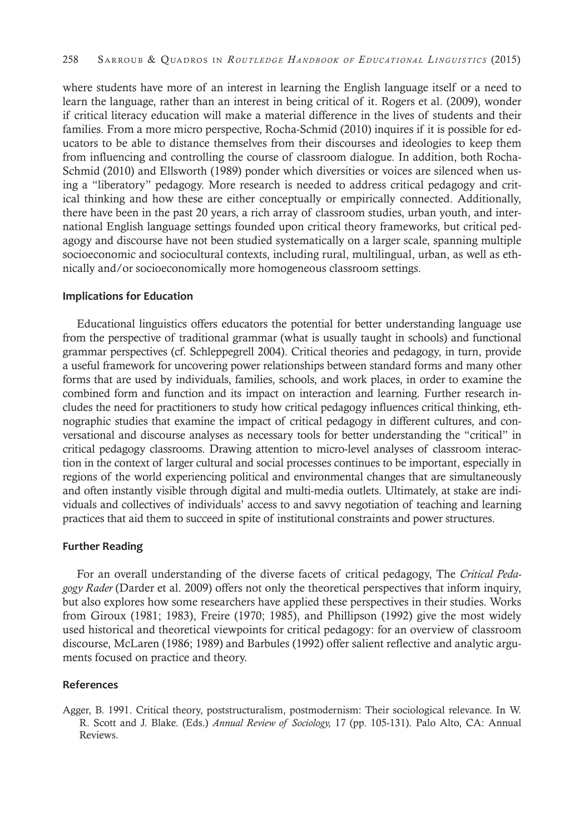where students have more of an interest in learning the English language itself or a need to learn the language, rather than an interest in being critical of it. Rogers et al. (2009), wonder if critical literacy education will make a material difference in the lives of students and their families. From a more micro perspective, Rocha-Schmid (2010) inquires if it is possible for educators to be able to distance themselves from their discourses and ideologies to keep them from influencing and controlling the course of classroom dialogue. In addition, both Rocha-Schmid (2010) and Ellsworth (1989) ponder which diversities or voices are silenced when using a "liberatory" pedagogy. More research is needed to address critical pedagogy and critical thinking and how these are either conceptually or empirically connected. Additionally, there have been in the past 20 years, a rich array of classroom studies, urban youth, and international English language settings founded upon critical theory frameworks, but critical pedagogy and discourse have not been studied systematically on a larger scale, spanning multiple socioeconomic and sociocultural contexts, including rural, multilingual, urban, as well as ethnically and/or socioeconomically more homogeneous classroom settings.

#### **Implications for Education**

Educational linguistics offers educators the potential for better understanding language use from the perspective of traditional grammar (what is usually taught in schools) and functional grammar perspectives (cf. Schleppegrell 2004). Critical theories and pedagogy, in turn, provide a useful framework for uncovering power relationships between standard forms and many other forms that are used by individuals, families, schools, and work places, in order to examine the combined form and function and its impact on interaction and learning. Further research includes the need for practitioners to study how critical pedagogy influences critical thinking, ethnographic studies that examine the impact of critical pedagogy in different cultures, and conversational and discourse analyses as necessary tools for better understanding the "critical" in critical pedagogy classrooms. Drawing attention to micro-level analyses of classroom interaction in the context of larger cultural and social processes continues to be important, especially in regions of the world experiencing political and environmental changes that are simultaneously and often instantly visible through digital and multi-media outlets. Ultimately, at stake are individuals and collectives of individuals' access to and savvy negotiation of teaching and learning practices that aid them to succeed in spite of institutional constraints and power structures.

#### **Further Reading**

For an overall understanding of the diverse facets of critical pedagogy, The *Critical Pedagogy Rader* (Darder et al. 2009) offers not only the theoretical perspectives that inform inquiry, but also explores how some researchers have applied these perspectives in their studies. Works from Giroux (1981; 1983), Freire (1970; 1985), and Phillipson (1992) give the most widely used historical and theoretical viewpoints for critical pedagogy: for an overview of classroom discourse, McLaren (1986; 1989) and Barbules (1992) offer salient reflective and analytic arguments focused on practice and theory.

#### **References**

Agger, B. 1991. Critical theory, poststructuralism, postmodernism: Their sociological relevance. In W. R. Scott and J. Blake. (Eds.) *Annual Review of Sociology,* 17 (pp. 105-131). Palo Alto, CA: Annual Reviews.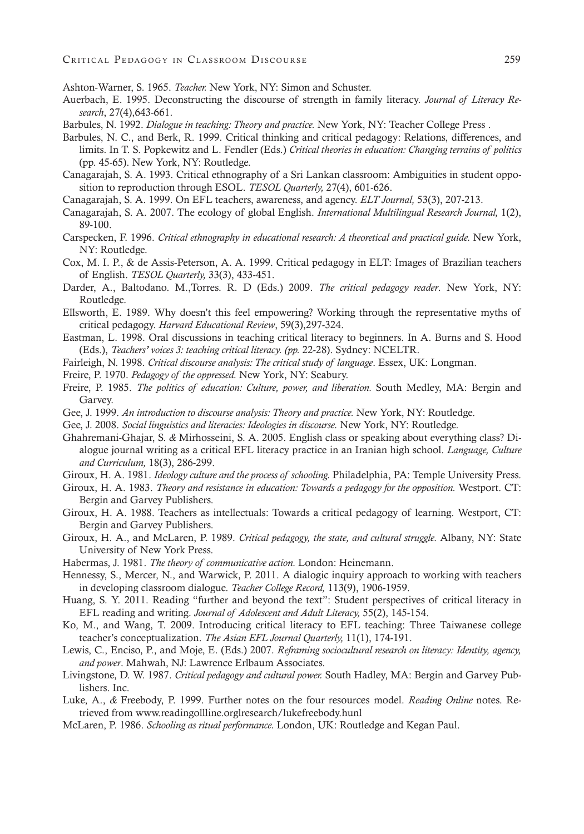Ashton-Warner, S. 1965. *Teacher.* New York, NY: Simon and Schuster.

- Auerbach, E. 1995. Deconstructing the discourse of strength in family literacy. *Journal of Literacy Research*, 27(4),643-661.
- Barbules, N. 1992. *Dialogue in teaching: Theory and practice.* New York, NY: Teacher College Press .
- Barbules, N. C., and Berk, R. 1999. Critical thinking and critical pedagogy: Relations, differences, and limits. In T. S. Popkewitz and L. Fendler (Eds.) *Critical theories in education: Changing terrains of politics*  (pp. 45-65). New York, NY: Routledge.
- Canagarajah, S. A. 1993. Critical ethnography of a Sri Lankan classroom: Ambiguities in student opposition to reproduction through ESOL. *TESOL Quarterly,* 27(4), 601-626.
- Canagarajah, S. A. 1999. On EFL teachers, awareness, and agency. *ELT Journal,* 53(3), 207-213.
- Canagarajah, S. A. 2007. The ecology of global English. *International Multilingual Research Journal,* 1(2), 89-100.
- Carspecken, F. 1996. *Critical ethnography in educational research: A theoretical and practical guide.* New York, NY: Routledge.
- Cox, M. I. P., & de Assis-Peterson, A. A. 1999. Critical pedagogy in ELT: Images of Brazilian teachers of English. *TESOL Quarterly,* 33(3), 433-451.
- Darder, A., Baltodano. M.,Torres. R. D (Eds.) 2009. *The critical pedagogy reader*. New York, NY: Routledge.
- Ellsworth, E. 1989. Why doesn't this feel empowering? Working through the representative myths of critical pedagogy. *Harvard Educational Review*, 59(3),297-324.
- Eastman, L. 1998. Oral discussions in teaching critical literacy to beginners. In A. Burns and S. Hood (Eds.), *Teachers' voices 3: teaching critical literacy. (pp.* 22-28). Sydney: NCELTR.
- Fairleigh, N. 1998. *Critical discourse analysis: The critical study of language*. Essex, UK: Longman.
- Freire, P. 1970. *Pedagogy of the oppressed.* New York, NY: Seabury.
- Freire, P. 1985. *The politics of education: Culture, power, and liberation.* South Medley, MA: Bergin and Garvey.
- Gee, J. 1999. *An introduction to discourse analysis: Theory and practice.* New York, NY: Routledge.

Gee, J. 2008. *Social linguistics and literacies: Ideologies in discourse.* New York, NY: Routledge.

Ghahremani-Ghajar, S. *&* Mirhosseini, S. A. 2005. English class or speaking about everything class? Dialogue journal writing as a critical EFL literacy practice in an Iranian high school. *Language, Culture and Curriculum,* 18(3), 286-299.

Giroux, H. A. 1981. *Ideology culture and the process of schooling.* Philadelphia, PA: Temple University Press.

- Giroux, H. A. 1983. *Theory and resistance in education: Towards a pedagogy for the opposition.* Westport. CT: Bergin and Garvey Publishers.
- Giroux, H. A. 1988. Teachers as intellectuals: Towards a critical pedagogy of learning. Westport, CT: Bergin and Garvey Publishers.
- Giroux, H. A., and McLaren, P. 1989. *Critical pedagogy, the state, and cultural struggle.* Albany, NY: State University of New York Press.
- Habermas, J. 1981. *The theory of communicative action.* London: Heinemann.
- Hennessy, S., Mercer, N., and Warwick, P. 2011. A dialogic inquiry approach to working with teachers in developing classroom dialogue. *Teacher College Record,* 113(9), 1906-1959.
- Huang, S. Y. 2011. Reading "further and beyond the text": Student perspectives of critical literacy in EFL reading and writing. *Journal of Adolescent and Adult Literacy,* 55(2), 145-154.
- Ko, M., and Wang, T. 2009. Introducing critical literacy to EFL teaching: Three Taiwanese college teacher's conceptualization. *The Asian EFL Journal Quarterly,* 11(1), 174-191.
- Lewis, C., Enciso, P., and Moje, E. (Eds.) 2007. *Reframing sociocultural research on literacy: Identity, agency, and power*. Mahwah, NJ: Lawrence Erlbaum Associates.
- Livingstone, D. W. 1987. *Critical pedagogy and cultural power.* South Hadley, MA: Bergin and Garvey Publishers. Inc.
- Luke, A., *&* Freebody, P. 1999. Further notes on the four resources model. *Reading Online* notes. Retrieved from www.readingollline.orglresearch/lukefreebody.hunl
- McLaren, P. 1986. *Schooling as ritual performance.* London, UK: Routledge and Kegan Paul.